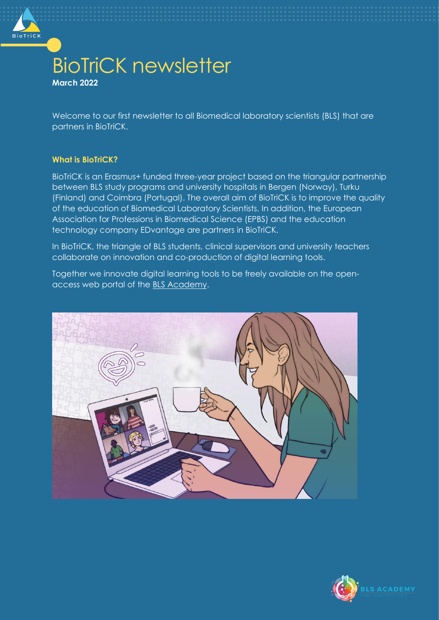

# BioTriCK newsletter **March 2022**

Welcome to our first newsletter to all Biomedical laboratory scientists (BLS) that are partners in BioTriCK.

## **What is BioTriCK?**

BioTriCK is an Erasmus+ funded three-year project based on the triangular partnership between BLS study programs and university hospitals in Bergen (Norway), Turku (Finland) and Coimbra (Portugal). The overall aim of BioTriCK is to improve the quality of the education of Biomedical Laboratory Scientists. In addition, the European Association for Professions in Biomedical Science (EPBS) and the education technology company EDvantage are partners in BioTriCK.

In BioTriCK, the triangle of BLS students, clinical supervisors and university teachers collaborate on innovation and co-production of digital learning tools.

Together we innovate digital learning tools to be freely available on the openaccess web portal of the [BLS Academy.](https://www.blsacademy.net/)